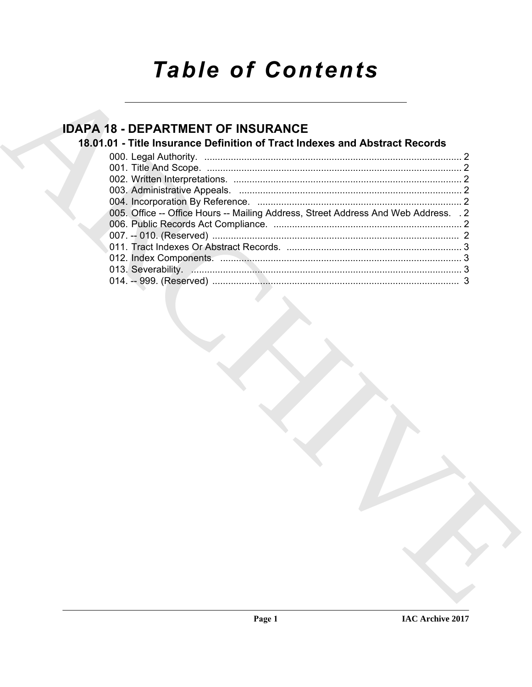# *Table of Contents*

# **IDAPA 18 - DEPARTMENT OF INSURANCE**

# **18.01.01 - Title Insurance Definition of Tract Indexes and Abstract Records**

| 18.01.01 - Title Insurance Definition of Tract Indexes and Abstract Records         |
|-------------------------------------------------------------------------------------|
|                                                                                     |
|                                                                                     |
| 005. Office -- Office Hours -- Mailing Address, Street Address And Web Address. . 2 |
|                                                                                     |
|                                                                                     |
|                                                                                     |
|                                                                                     |
|                                                                                     |
|                                                                                     |
|                                                                                     |
|                                                                                     |
|                                                                                     |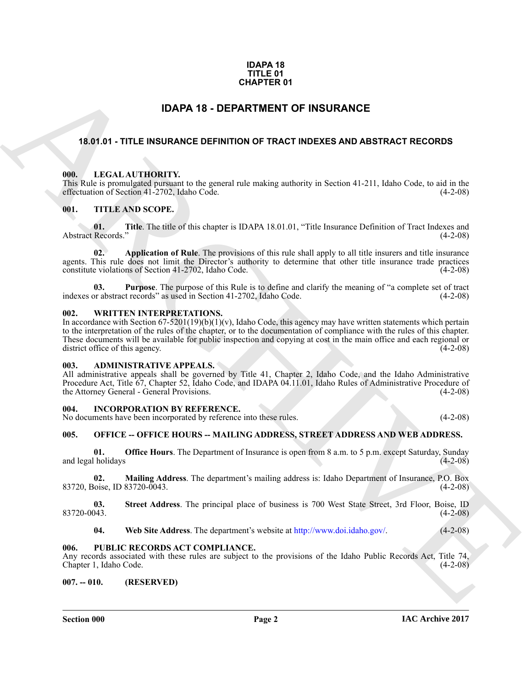### **IDAPA 18 TITLE 01 CHAPTER 01**

## **IDAPA 18 - DEPARTMENT OF INSURANCE**

### <span id="page-1-12"></span><span id="page-1-1"></span><span id="page-1-0"></span>**18.01.01 - TITLE INSURANCE DEFINITION OF TRACT INDEXES AND ABSTRACT RECORDS**

### <span id="page-1-2"></span>**000. LEGAL AUTHORITY.**

This Rule is promulgated pursuant to the general rule making authority in Section 41-211, Idaho Code, to aid in the effectuation of Section 41-2702, Idaho Code.

### <span id="page-1-15"></span><span id="page-1-3"></span>**001. TITLE AND SCOPE.**

**01.** Title. The title of this chapter is IDAPA 18.01.01, "Title Insurance Definition of Tract Indexes and Records." (4-2-08) Abstract Records.'

**02.** Application of Rule. The provisions of this rule shall apply to all title insurers and title insurance agents. This rule does not limit the Director's authority to determine that other title insurance trade practices constitute violations of Section 41-2702, Idaho Code. (4-2-08) constitute violations of Section 41-2702, Idaho Code.

**03.** Purpose. The purpose of this Rule is to define and clarify the meaning of "a complete set of tract or abstract records" as used in Section 41-2702, Idaho Code.  $(4-2-08)$ indexes or abstract records" as used in Section 41-2702, Idaho Code.

### <span id="page-1-16"></span><span id="page-1-4"></span>**002. WRITTEN INTERPRETATIONS.**

**EXAMPLE RESURANCE**<br> **EXAMPLE INSURANCE CORPARTMENT OF INSURANCE**<br> **ARCHIST . TITLE INSURANCE DEFINITION OF TRACT INDEXES AND ARSTRACT RECORDS**<br> **EXAMPLE INSURANCE DEFINITION OF TRACT INDEXES AND ARSTRACT RECORDS**<br> **EXAMP** In accordance with Section  $67-5201(19)(b)(1)(v)$ , Idaho Code, this agency may have written statements which pertain to the interpretation of the rules of the chapter, or to the documentation of compliance with the rules of this chapter. These documents will be available for public inspection and copying at cost in the main office and each regional or district office of this agency. (4-2-08) district office of this agency.

### <span id="page-1-10"></span><span id="page-1-5"></span>**003. ADMINISTRATIVE APPEALS.**

All administrative appeals shall be governed by Title 41, Chapter 2, Idaho Code, and the Idaho Administrative Procedure Act, Title 67, Chapter 52, Idaho Code, and IDAPA 04.11.01, Idaho Rules of Administrative Procedure of the Attorney General - General Provisions. (4-2-08) the Attorney General - General Provisions.

### <span id="page-1-11"></span><span id="page-1-6"></span>**004. INCORPORATION BY REFERENCE.**

No documents have been incorporated by reference into these rules. (4-2-08)

### <span id="page-1-13"></span><span id="page-1-7"></span>**005. OFFICE -- OFFICE HOURS -- MAILING ADDRESS, STREET ADDRESS AND WEB ADDRESS.**

**01. Office Hours**. The Department of Insurance is open from 8 a.m. to 5 p.m. except Saturday, Sunday and legal holidays

**02. Mailing Address**. The department's mailing address is: Idaho Department of Insurance, P.O. Box 83720, Boise, ID 83720-0043. (4-2-08)

**03.** Street Address. The principal place of business is 700 West State Street, 3rd Floor, Boise, ID<br>(4-2-08) 83720-0043. (4-2-08)

<span id="page-1-14"></span>**04.** Web Site Address. The department's website at http://www.doi.idaho.gov/. (4-2-08)

### <span id="page-1-8"></span>**006. PUBLIC RECORDS ACT COMPLIANCE.**

Any records associated with these rules are subject to the provisions of the Idaho Public Records Act, Title 74, Chapter 1, Idaho Code. (4-2-08)

### <span id="page-1-9"></span>**007. -- 010. (RESERVED)**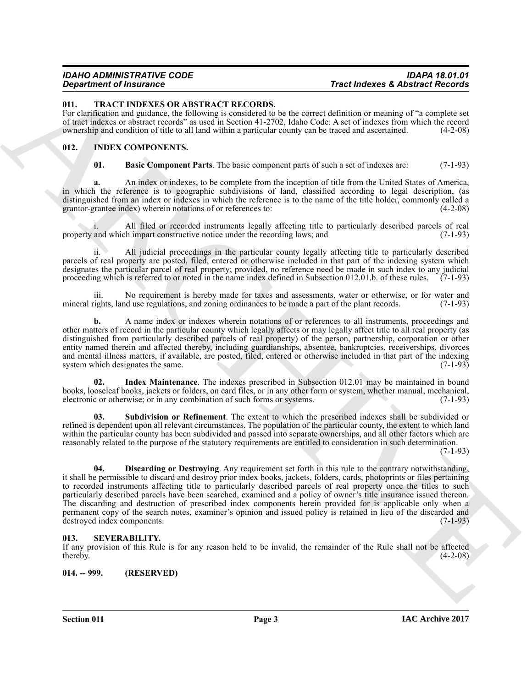### <span id="page-2-10"></span><span id="page-2-0"></span>**011. TRACT INDEXES OR ABSTRACT RECORDS.**

For clarification and guidance, the following is considered to be the correct definition or meaning of "a complete set of tract indexes or abstract records" as used in Section 41-2702, Idaho Code: A set of indexes from which the record ownership and condition of title to all land within a particular county can be traced and ascertained. (4-2-08)

### <span id="page-2-1"></span>**012. INDEX COMPONENTS.**

<span id="page-2-5"></span><span id="page-2-4"></span>**01. Basic Component Parts**. The basic component parts of such a set of indexes are: (7-1-93)

**a.** An index or indexes, to be complete from the inception of title from the United States of America, in which the reference is to geographic subdivisions of land, classified according to legal description, (as distinguished from an index or indexes in which the reference is to the name of the title holder, commonly called a grantor-grantee index) wherein notations of or references to: grantor-grantee index) wherein notations of or references to:

All filed or recorded instruments legally affecting title to particularly described parcels of real<br>the impart constructive notice under the recording laws; and  $(7-1-93)$ property and which impart constructive notice under the recording laws; and

ii. All judicial proceedings in the particular county legally affecting title to particularly described parcels of real property are posted, filed, entered or otherwise included in that part of the indexing system which designates the particular parcel of real property; provided, no reference need be made in such index to any judicial proceeding which is referred to or noted in the name index defined in Subsection 012.01.b. of these rules. (7-1-93)

No requirement is hereby made for taxes and assessments, water or otherwise, or for water and mineral rights, land use regulations, and zoning ordinances to be made a part of the plant records. (7-1-93)

**b.** A name index or indexes wherein notations of or references to all instruments, proceedings and other matters of record in the particular county which legally affects or may legally affect title to all real property (as distinguished from particularly described parcels of real property) of the person, partnership, corporation or other entity named therein and affected thereby, including guardianships, absentee, bankruptcies, receiverships, divorces and mental illness matters, if available, are posted, filed, entered or otherwise included in that part of the indexing system which designates the same. system which designates the same.

<span id="page-2-7"></span>**02. Index Maintenance**. The indexes prescribed in Subsection 012.01 may be maintained in bound books, looseleaf books, jackets or folders, on card files, or in any other form or system, whether manual, mechanical, electronic or otherwise; or in any combination of such forms or systems.

<span id="page-2-8"></span><span id="page-2-6"></span>**03. Subdivision or Refinement**. The extent to which the prescribed indexes shall be subdivided or refined is dependent upon all relevant circumstances. The population of the particular county, the extent to which land within the particular county has been subdivided and passed into separate ownerships, and all other factors which are reasonably related to the purpose of the statutory requirements are entitled to consideration in such determination.

 $(7-1-93)$ 

True Indeterment True International Control in the Control of the Control of the Control of the Control of the Control of the Control of the Control of the Control of the Control of the Control of the Control of the Contr **04. Discarding or Destroying**. Any requirement set forth in this rule to the contrary notwithstanding, it shall be permissible to discard and destroy prior index books, jackets, folders, cards, photoprints or files pertaining to recorded instruments affecting title to particularly described parcels of real property once the titles to such particularly described parcels have been searched, examined and a policy of owner's title insurance issued thereon. The discarding and destruction of prescribed index components herein provided for is applicable only when a permanent copy of the search notes, examiner's opinion and issued policy is retained in lieu of the discarded and destroyed index components. (7-1-93) destroyed index components.

### <span id="page-2-9"></span><span id="page-2-2"></span>**013. SEVERABILITY.**

If any provision of this Rule is for any reason held to be invalid, the remainder of the Rule shall not be affected thereby.  $(4-2-08)$ 

<span id="page-2-3"></span>**014. -- 999. (RESERVED)**